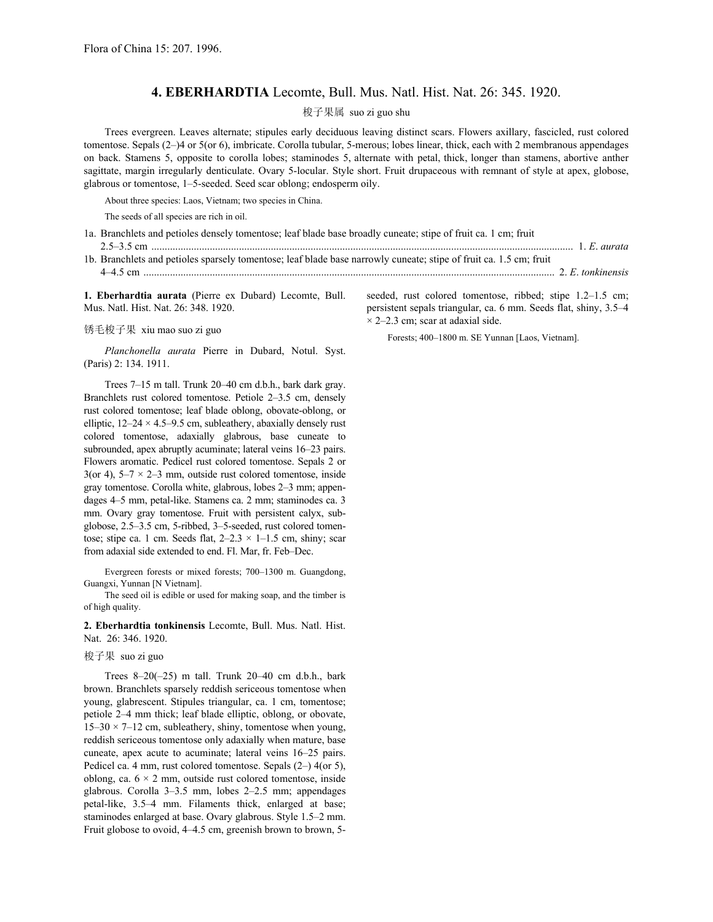## **4. EBERHARDTIA** Lecomte, Bull. Mus. Natl. Hist. Nat. 26: 345. 1920.

## 梭子果属 suo zi guo shu

 Trees evergreen. Leaves alternate; stipules early deciduous leaving distinct scars. Flowers axillary, fascicled, rust colored tomentose. Sepals (2–)4 or 5(or 6), imbricate. Corolla tubular, 5-merous; lobes linear, thick, each with 2 membranous appendages on back. Stamens 5, opposite to corolla lobes; staminodes 5, alternate with petal, thick, longer than stamens, abortive anther sagittate, margin irregularly denticulate. Ovary 5-locular. Style short. Fruit drupaceous with remnant of style at apex, globose, glabrous or tomentose, 1–5-seeded. Seed scar oblong; endosperm oily.

About three species: Laos, Vietnam; two species in China.

The seeds of all species are rich in oil.

1a. Branchlets and petioles densely tomentose; leaf blade base broadly cuneate; stipe of fruit ca. 1 cm; fruit 2.5–3.5 cm ............................................................................................................................................................... 1. *E*. *aurata*

1b. Branchlets and petioles sparsely tomentose; leaf blade base narrowly cuneate; stipe of fruit ca. 1.5 cm; fruit 4–4.5 cm ........................................................................................................................................................... 2. *E*. *tonkinensis*

**1. Eberhardtia aurata** (Pierre ex Dubard) Lecomte, Bull. Mus. Natl. Hist. Nat. 26: 348. 1920.

锈毛梭子果 xiu mao suo zi guo

*Planchonella aurata* Pierre in Dubard, Notul. Syst. (Paris) 2: 134. 1911.

 Trees 7–15 m tall. Trunk 20–40 cm d.b.h., bark dark gray. Branchlets rust colored tomentose. Petiole 2–3.5 cm, densely rust colored tomentose; leaf blade oblong, obovate-oblong, or elliptic,  $12-24 \times 4.5-9.5$  cm, subleathery, abaxially densely rust colored tomentose, adaxially glabrous, base cuneate to subrounded, apex abruptly acuminate; lateral veins 16–23 pairs. Flowers aromatic. Pedicel rust colored tomentose. Sepals 2 or 3(or 4),  $5-7 \times 2-3$  mm, outside rust colored tomentose, inside gray tomentose. Corolla white, glabrous, lobes 2–3 mm; appendages 4–5 mm, petal-like. Stamens ca. 2 mm; staminodes ca. 3 mm. Ovary gray tomentose. Fruit with persistent calyx, subglobose, 2.5–3.5 cm, 5-ribbed, 3–5-seeded, rust colored tomentose; stipe ca. 1 cm. Seeds flat,  $2-2.3 \times 1-1.5$  cm, shiny; scar from adaxial side extended to end. Fl. Mar, fr. Feb–Dec.

 Evergreen forests or mixed forests; 700–1300 m. Guangdong, Guangxi, Yunnan [N Vietnam].

 The seed oil is edible or used for making soap, and the timber is of high quality.

**2. Eberhardtia tonkinensis** Lecomte, Bull. Mus. Natl. Hist. Nat. 26: 346. 1920.

梭子果 suo zi guo

 Trees 8–20(–25) m tall. Trunk 20–40 cm d.b.h., bark brown. Branchlets sparsely reddish sericeous tomentose when young, glabrescent. Stipules triangular, ca. 1 cm, tomentose; petiole 2–4 mm thick; leaf blade elliptic, oblong, or obovate,  $15-30 \times 7-12$  cm, subleathery, shiny, tomentose when young, reddish sericeous tomentose only adaxially when mature, base cuneate, apex acute to acuminate; lateral veins 16–25 pairs. Pedicel ca. 4 mm, rust colored tomentose. Sepals (2–) 4(or 5), oblong, ca.  $6 \times 2$  mm, outside rust colored tomentose, inside glabrous. Corolla 3–3.5 mm, lobes 2–2.5 mm; appendages petal-like, 3.5–4 mm. Filaments thick, enlarged at base; staminodes enlarged at base. Ovary glabrous. Style 1.5–2 mm. Fruit globose to ovoid, 4–4.5 cm, greenish brown to brown, 5seeded, rust colored tomentose, ribbed; stipe 1.2–1.5 cm; persistent sepals triangular, ca. 6 mm. Seeds flat, shiny, 3.5–4  $\times$  2–2.3 cm; scar at adaxial side.

Forests; 400–1800 m. SE Yunnan [Laos, Vietnam].